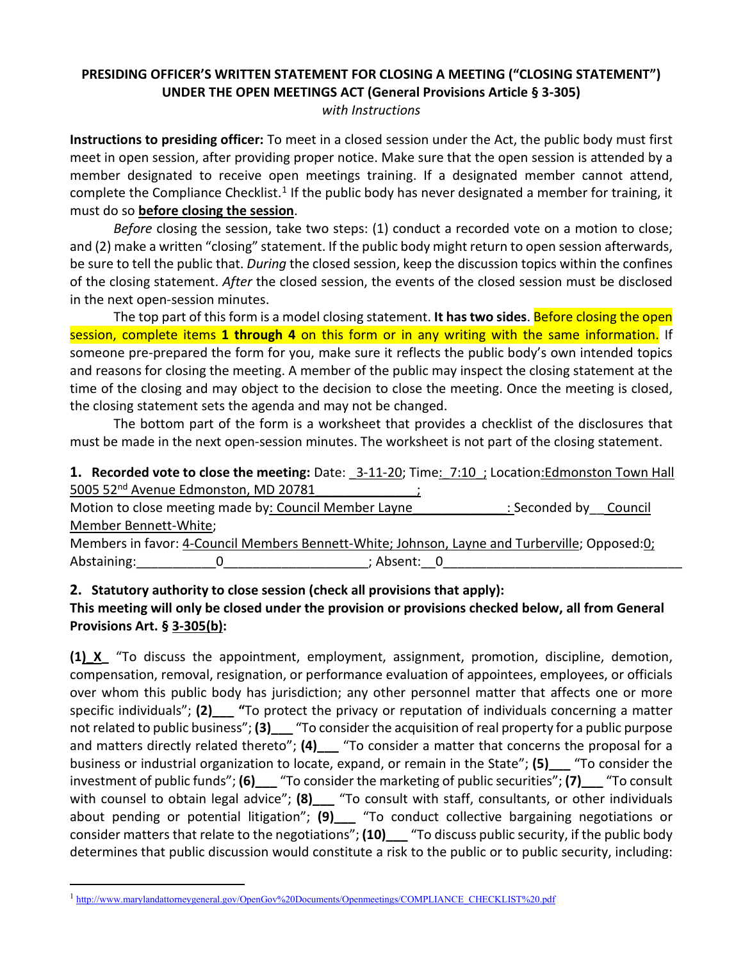## **PRESIDING OFFICER'S WRITTEN STATEMENT FOR CLOSING A MEETING ("CLOSING STATEMENT") UNDER THE OPEN MEETINGS ACT (General Provisions Article § 3-305)**

*with Instructions*

**Instructions to presiding officer:** To meet in a closed session under the Act, the public body must first meet in open session, after providing proper notice. Make sure that the open session is attended by a member designated to receive open meetings training. If a designated member cannot attend, complete the Compliance Checklist.<sup>[1](#page-0-0)</sup> If the public body has never designated a member for training, it must do so **before closing the session**.

*Before* closing the session, take two steps: (1) conduct a recorded vote on a motion to close; and (2) make a written "closing" statement. If the public body might return to open session afterwards, be sure to tell the public that. *During* the closed session, keep the discussion topics within the confines of the closing statement. *After* the closed session, the events of the closed session must be disclosed in the next open-session minutes.

The top part of this form is a model closing statement. **It has two sides**. Before closing the open session, complete items **1 through 4** on this form or in any writing with the same information. If someone pre-prepared the form for you, make sure it reflects the public body's own intended topics and reasons for closing the meeting. A member of the public may inspect the closing statement at the time of the closing and may object to the decision to close the meeting. Once the meeting is closed, the closing statement sets the agenda and may not be changed.

The bottom part of the form is a worksheet that provides a checklist of the disclosures that must be made in the next open-session minutes. The worksheet is not part of the closing statement.

**1.** Recorded vote to close the meeting: Date: 3-11-20; Time: 7:10 ; Location: Edmonston Town Hall 5005 52<sup>nd</sup> Avenue Edmonston, MD 20781

Motion to close meeting made by: Council Member Layne \_\_\_\_\_\_\_\_\_\_\_\_: Seconded by \_\_ Council Member Bennett-White; Members in favor: 4-Council Members Bennett-White; Johnson, Layne and Turberville; Opposed:0; Abstaining:  $0$  and  $0$  are subsent:  $0$ 

## **2. Statutory authority to close session (check all provisions that apply):**

## **This meeting will only be closed under the provision or provisions checked below, all from General Provisions Art. § 3-305(b):**

**(1)\_X\_** "To discuss the appointment, employment, assignment, promotion, discipline, demotion, compensation, removal, resignation, or performance evaluation of appointees, employees, or officials over whom this public body has jurisdiction; any other personnel matter that affects one or more specific individuals"; **(2)\_\_\_ "**To protect the privacy or reputation of individuals concerning a matter not related to public business"; **(3)\_\_\_** "To consider the acquisition of real property for a public purpose and matters directly related thereto"; **(4)\_\_\_** "To consider a matter that concerns the proposal for a business or industrial organization to locate, expand, or remain in the State"; **(5)\_\_\_** "To consider the investment of public funds"; **(6)\_\_\_** "To consider the marketing of public securities"; **(7)\_\_\_** "To consult with counsel to obtain legal advice"; **(8)\_\_\_** "To consult with staff, consultants, or other individuals about pending or potential litigation"; **(9)\_\_\_** "To conduct collective bargaining negotiations or consider matters that relate to the negotiations"; **(10)\_\_\_** "To discuss public security, if the public body determines that public discussion would constitute a risk to the public or to public security, including:

<span id="page-0-0"></span><sup>&</sup>lt;sup>1</sup> [http://www.marylandattorneygeneral.gov/OpenGov%20Documents/Openmeetings/COMPLIANCE\\_CHECKLIST%20.pdf](http://www.marylandattorneygeneral.gov/OpenGov%20Documents/Openmeetings/COMPLIANCE_CHECKLIST%20.pdf)